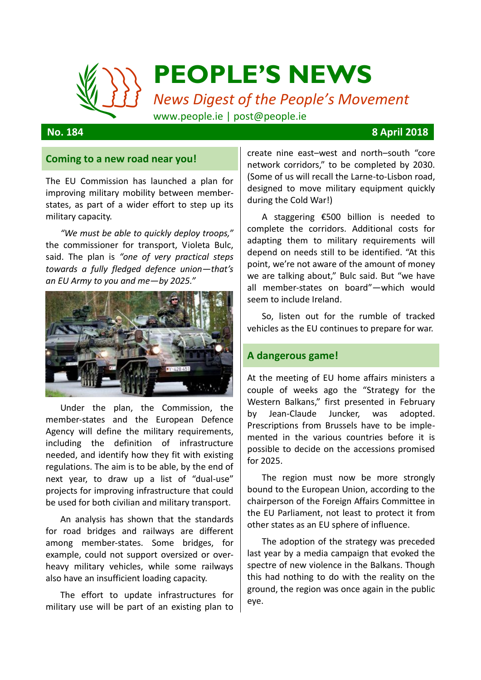

### **No. 184 8 April 2018**

#### **Coming to a new road near you!**

The EU Commission has launched a plan for improving military mobility between memberstates, as part of a wider effort to step up its military capacity.

*"We must be able to quickly deploy troops,"* the commissioner for transport, Violeta Bulc, said. The plan is *"one of very practical steps towards a fully fledged defence union—that's an EU Army to you and me—by 2025."*



Under the plan, the Commission, the member-states and the European Defence Agency will define the military requirements, including the definition of infrastructure needed, and identify how they fit with existing regulations. The aim is to be able, by the end of next year, to draw up a list of "dual-use" projects for improving infrastructure that could be used for both civilian and military transport.

An analysis has shown that the standards for road bridges and railways are different among member-states. Some bridges, for example, could not support oversized or overheavy military vehicles, while some railways also have an insufficient loading capacity.

The effort to update infrastructures for military use will be part of an existing plan to create nine east–west and north–south "core network corridors," to be completed by 2030. (Some of us will recall the Larne-to-Lisbon road, designed to move military equipment quickly during the Cold War!)

A staggering €500 billion is needed to complete the corridors. Additional costs for adapting them to military requirements will depend on needs still to be identified. "At this point, we're not aware of the amount of money we are talking about," Bulc said. But "we have all member-states on board"—which would seem to include Ireland.

So, listen out for the rumble of tracked vehicles as the EU continues to prepare for war.

#### **A dangerous game!**

At the meeting of EU home affairs ministers a couple of weeks ago the "[Strategy for the](https://ec.europa.eu/commission/news/strategy-western-balkans-2018-feb-06_en)  [Western Balkans](https://ec.europa.eu/commission/news/strategy-western-balkans-2018-feb-06_en)," first presented in February by Jean-Claude Juncker, was adopted. Prescriptions from Brussels have to be implemented in the various countries before it is possible to decide on the accessions promised for 2025.

The region must now be more strongly bound to the European Union, according to the chairperson of the Foreign Affairs Committee in the EU Parliament, not least to protect it from other states as an EU sphere of influence.

The adoption of the strategy was preceded last year by a media campaign that evoked the spectre of new violence in the Balkans. Though this had nothing to do with the reality on the ground, the region was once again in the public eye.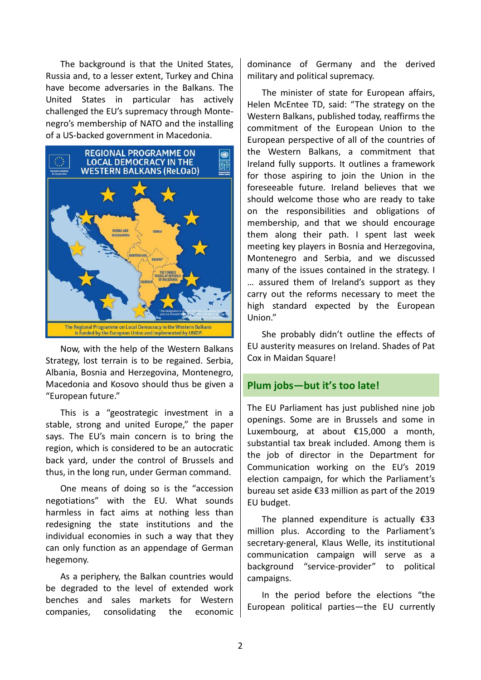The background is that the United States, Russia and, to a lesser extent, Turkey and China have become adversaries in the Balkans. The United States in particular has actively challenged the EU's supremacy through Montenegro's membership of NATO and the installing of a US-backed government in Macedonia.



Now, with the help of the Western Balkans Strategy, lost terrain is to be regained. Serbia, Albania, Bosnia and Herzegovina, Montenegro, Macedonia and Kosovo should thus be given a "European future."

This is a "geostrategic investment in a stable, strong and united Europe," the paper says. The EU's main concern is to bring the region, which is considered to be an autocratic back yard, under the control of Brussels and thus, in the long run, under German command.

One means of doing so is the "accession negotiations" with the EU. What sounds harmless in fact aims at nothing less than redesigning the state institutions and the individual economies in such a way that they can only function as an appendage of German hegemony.

As a periphery, the Balkan countries would be degraded to the level of extended work benches and sales markets for Western companies, consolidating the economic

dominance of Germany and the derived military and political supremacy.

The minister of state for European affairs, Helen McEntee TD, said: "The strategy on the Western Balkans, published today, reaffirms the commitment of the European Union to the European perspective of all of the countries of the Western Balkans, a commitment that Ireland fully supports. It outlines a framework for those aspiring to join the Union in the foreseeable future. Ireland believes that we should welcome those who are ready to take on the responsibilities and obligations of membership, and that we should encourage them along their path. I spent last week meeting key players in Bosnia and Herzegovina, Montenegro and Serbia, and we discussed many of the issues contained in the strategy. I … assured them of Ireland's support as they carry out the reforms necessary to meet the high standard expected by the European Union."

She probably didn't outline the effects of EU austerity measures on Ireland. Shades of Pat Cox in Maidan Square!

## **Plum jobs—but it's too late!**

The EU Parliament has just published nine job openings. Some are in Brussels and some in Luxembourg, at about €15,000 a month, substantial tax break included. Among them is the job of director in the Department for Communication working on the EU's 2019 election campaign, for which the Parliament's bureau set aside €33 million as part of the 2019 EU budget.

The planned expenditure is actually  $£33$ million plus. According to the Parliament's secretary-general, Klaus Welle, its institutional communication campaign will serve as a background "service-provider" to political campaigns.

In the period before the elections "the European political parties—the EU currently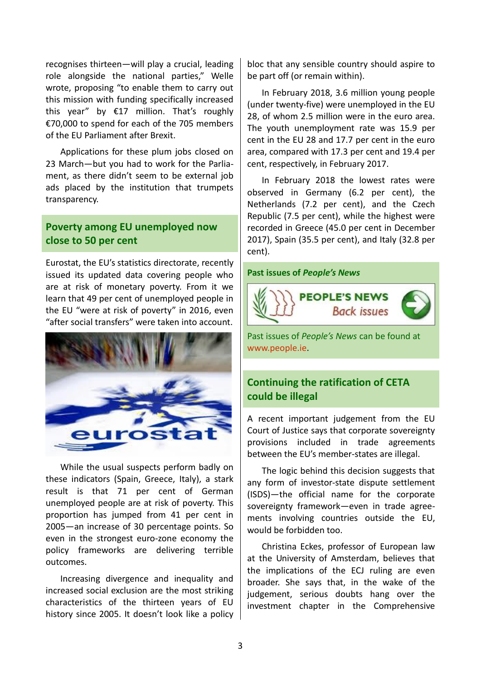recognises thirteen—will play a crucial, leading role alongside the national parties," Welle wrote, proposing "to enable them to carry out this mission with funding specifically increased this year" by €17 million. That's roughly €70,000 to spend for each of the 705 members of the EU Parliament after Brexit.

Applications for these plum jobs closed on 23 March—but you had to work for the Parliament, as there didn't seem to be external job ads placed by the institution that trumpets transparency.

# **Poverty among EU unemployed now close to 50 per cent**

Eurostat, the EU's statistics directorate, recently issued its updated data covering people who are at risk of monetary poverty. From it we learn that 49 per cent of unemployed people in the EU "were at risk of poverty" in 2016, even "after social transfers" were taken into account.



While the usual suspects perform badly on these indicators (Spain, Greece, Italy), a stark result is that 71 per cent of German unemployed people are at risk of poverty. This proportion has jumped from 41 per cent in 2005—an increase of 30 percentage points. So even in the strongest euro-zone economy the policy frameworks are delivering terrible outcomes.

Increasing divergence and inequality and increased social exclusion are the most striking characteristics of the thirteen years of EU history since 2005. It doesn't look like a policy

bloc that any sensible country should aspire to be part off (or remain within).

In February 2018, 3.6 million young people (under twenty-five) were unemployed in the EU 28, of whom 2.5 million were in the euro area. The youth unemployment rate was 15.9 per cent in the EU 28 and 17.7 per cent in the euro area, compared with 17.3 per cent and 19.4 per cent, respectively, in February 2017.

In February 2018 the lowest rates were observed in Germany (6.2 per cent), the Netherlands (7.2 per cent), and the Czech Republic (7.5 per cent), while the highest were recorded in Greece (45.0 per cent in December 2017), Spain (35.5 per cent), and Italy (32.8 per cent).

**Past issues of** *People's News*



Past issues of *People's News* can be found at [www.people.ie.](http://www.people.ie/)

# **Continuing the ratification of CETA could be illegal**

A recent important judgement from the EU Court of Justice says that corporate sovereignty provisions included in trade agreements between the EU's member-states are illegal.

The logic behind this decision suggests that any form of investor-state dispute settlement (ISDS)—the official name for the corporate sovereignty framework—even in trade agreements involving countries outside the EU, would be forbidden too.

Christina Eckes, professor of European law at the University of Amsterdam, believes that the implications of the ECJ ruling are even broader. She says that, in the wake of the judgement, serious doubts hang over the investment chapter in the Comprehensive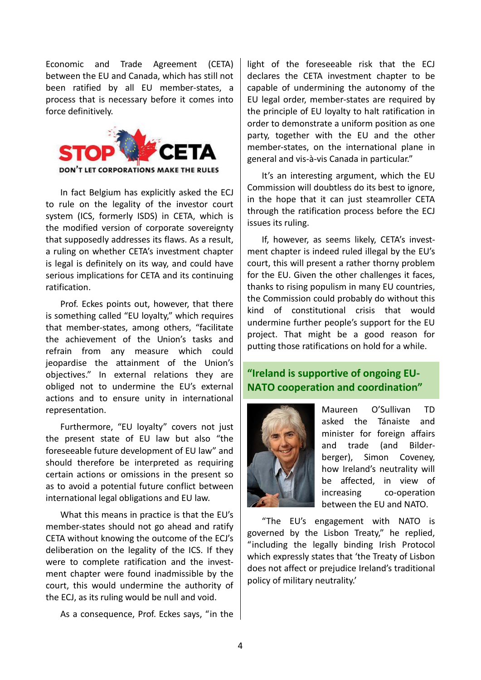Economic and Trade Agreement (CETA) between the EU and Canada, which has still not been ratified by all EU member-states, a process that is necessary before it comes into force definitively.



In fact Belgium has explicitly asked the ECJ to rule on the legality of the investor court system (ICS, formerly ISDS) in CETA, which is the modified version of corporate sovereignty that supposedly addresses its flaws. As a result, a ruling on whether CETA's investment chapter is legal is definitely on its way, and could have serious implications for CETA and its continuing ratification.

Prof. Eckes points out, however, that there is something called "EU loyalty," which requires that member-states, among others, "facilitate the achievement of the Union's tasks and refrain from any measure which could jeopardise the attainment of the Union's objectives." In external relations they are obliged not to undermine the EU's external actions and to ensure unity in international representation.

Furthermore, "EU loyalty" covers not just the present state of EU law but also "the foreseeable future development of EU law" and should therefore be interpreted as requiring certain actions or omissions in the present so as to avoid a potential future conflict between international legal obligations and EU law.

What this means in practice is that the EU's member-states should not go ahead and ratify CETA without knowing the outcome of the ECJ's deliberation on the legality of the ICS. If they were to complete ratification and the investment chapter were found inadmissible by the court, this would undermine the authority of the ECJ, as its ruling would be null and void.

As a consequence, Prof. Eckes says, "in the

light of the foreseeable risk that the ECJ declares the CETA investment chapter to be capable of undermining the autonomy of the EU legal order, member-states are required by the principle of EU loyalty to halt ratification in order to demonstrate a uniform position as one party, together with the EU and the other member-states, on the international plane in general and vis-à-vis Canada in particular."

It's an interesting argument, which the EU Commission will doubtless do its best to ignore, in the hope that it can just steamroller CETA through the ratification process before the ECJ issues its ruling.

If, however, as seems likely, CETA's investment chapter is indeed ruled illegal by the EU's court, this will present a rather thorny problem for the EU. Given the other challenges it faces, thanks to rising populism in many EU countries, the Commission could probably do without this kind of constitutional crisis that would undermine further people's support for the EU project. That might be a good reason for putting those ratifications on hold for a while.

# **"Ireland is supportive of ongoing EU-NATO cooperation and coordination"**



Maureen O'Sullivan TD asked the Tánaiste and minister for foreign affairs and trade (and Bilderberger), Simon Coveney, how Ireland's neutrality will be affected, in view of increasing co-operation between the EU and NATO.

"The EU's engagement with NATO is governed by the Lisbon Treaty," he replied, "including the legally binding Irish Protocol which expressly states that 'the Treaty of Lisbon does not affect or prejudice Ireland's traditional policy of military neutrality.'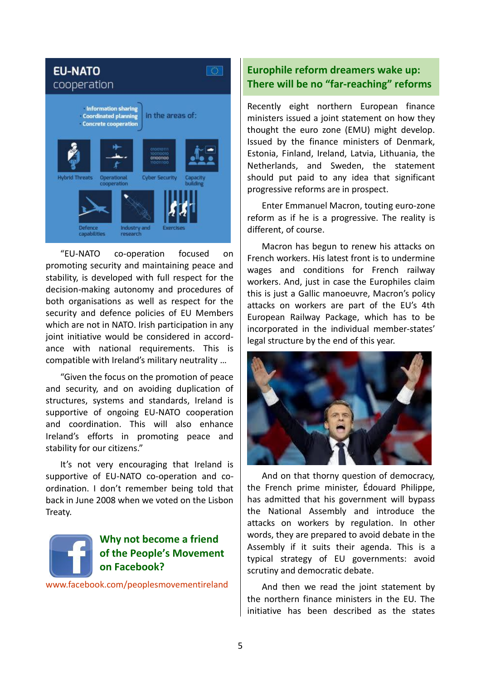

"EU-NATO co-operation focused on promoting security and maintaining peace and stability, is developed with full respect for the decision-making autonomy and procedures of both organisations as well as respect for the security and defence policies of EU Members which are not in NATO. Irish participation in any joint initiative would be considered in accordance with national requirements. This is compatible with Ireland's military neutrality …

"Given the focus on the promotion of peace and security, and on avoiding duplication of structures, systems and standards, Ireland is supportive of ongoing EU-NATO cooperation and coordination. This will also enhance Ireland's efforts in promoting peace and stability for our citizens."

It's not very encouraging that Ireland is supportive of EU-NATO co-operation and coordination. I don't remember being told that back in June 2008 when we voted on the Lisbon Treaty.



# **Why not become a friend of the People's Movement on Facebook?**

<www.facebook.com/peoplesmovementireland>

# **Europhile reform dreamers wake up: There will be no "far-reaching" reforms**

Recently eight northern European finance ministers issued a joint statement on how they thought the euro zone (EMU) might develop. Issued by the finance ministers of Denmark, Estonia, Finland, Ireland, Latvia, Lithuania, the Netherlands, and Sweden, the statement should put paid to any idea that significant progressive reforms are in prospect.

Enter Emmanuel Macron, touting euro-zone reform as if he is a progressive. The reality is different, of course.

Macron has begun to renew his attacks on French workers. His latest front is to undermine wages and conditions for French railway workers. And, just in case the Europhiles claim this is just a Gallic manoeuvre, Macron's policy attacks on workers are part of the EU's 4th European Railway Package, which has to be incorporated in the individual member-states' legal structure by the end of this year.



And on that thorny question of democracy, the French prime minister, Édouard Philippe, has admitted that his government will bypass the National Assembly and introduce the attacks on workers by regulation. In other words, they are prepared to avoid debate in the Assembly if it suits their agenda. This is a typical strategy of EU governments: avoid scrutiny and democratic debate.

And then we read the joint statement by the northern finance ministers in the EU. The initiative has been described as the states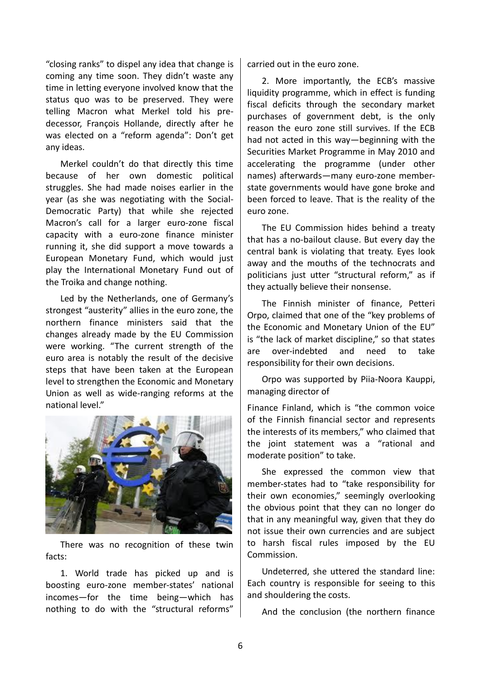"closing ranks" to dispel any idea that change is coming any time soon. They didn't waste any time in letting everyone involved know that the status quo was to be preserved. They were telling Macron what Merkel told his predecessor, François Hollande, directly after he was elected on a "reform agenda": Don't get any ideas.

Merkel couldn't do that directly this time because of her own domestic political struggles. She had made noises earlier in the year (as she was negotiating with the Social-Democratic Party) that while she rejected Macron's call for a larger euro-zone fiscal capacity with a euro-zone finance minister running it, she did support a move towards a European Monetary Fund, which would just play the International Monetary Fund out of the Troika and change nothing.

Led by the Netherlands, one of Germany's strongest "austerity" allies in the euro zone, the northern finance ministers said that the changes already made by the EU Commission were working. "The current strength of the euro area is notably the result of the decisive steps that have been taken at the European level to strengthen the Economic and Monetary Union as well as wide-ranging reforms at the national level."



There was no recognition of these twin facts:

1. World trade has picked up and is boosting euro-zone member-states' national incomes—for the time being—which has nothing to do with the "structural reforms"

carried out in the euro zone.

2. More importantly, the ECB's massive liquidity programme, which in effect is funding fiscal deficits through the secondary market purchases of government debt, is the only reason the euro zone still survives. If the ECB had not acted in this way—beginning with the Securities Market Programme in May 2010 and accelerating the programme (under other names) afterwards—many euro-zone memberstate governments would have gone broke and been forced to leave. That is the reality of the euro zone.

The EU Commission hides behind a treaty that has a no-bailout clause. But every day the central bank is violating that treaty. Eyes look away and the mouths of the technocrats and politicians just utter "structural reform," as if they actually believe their nonsense.

The Finnish minister of finance, Petteri Orpo, claimed that one of the "key problems of the Economic and Monetary Union of the EU" is "the lack of market discipline," so that states are over-indebted and need to take responsibility for their own decisions.

Orpo was supported by Piia-Noora Kauppi, managing director of

Finance Finland, which is "the common voice of the Finnish financial sector and represents the interests of its members," who claimed that the joint statement was a "rational and moderate position" to take.

She expressed the common view that member-states had to "take responsibility for their own economies," seemingly overlooking the obvious point that they can no longer do that in any meaningful way, given that they do not issue their own currencies and are subject to harsh fiscal rules imposed by the EU Commission.

Undeterred, she uttered the standard line: Each country is responsible for seeing to this and shouldering the costs.

And the conclusion (the northern finance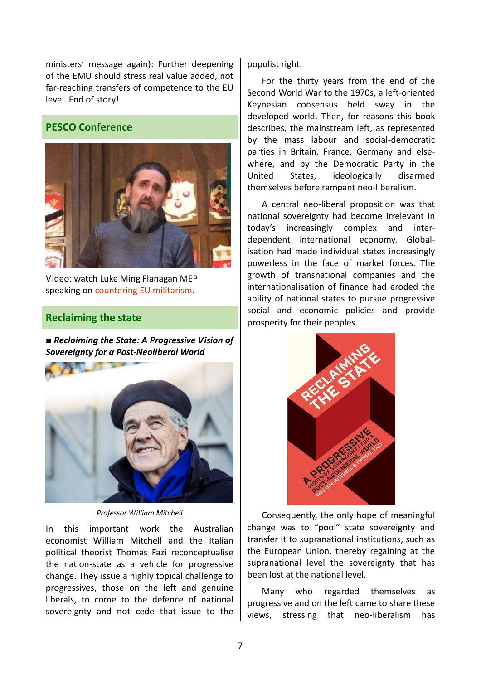ministers' message again): Further deepening of the EMU should stress real value added, not far-reaching transfers of competence to the EU level. End of story!

# **PESCO Conference**



Video: watch Luke Ming Flanagan MEP speaking on [countering EU militarism.](https://www.youtube.com/watch?v=kwF4r7nGYD8&t=s)

## **Reclaiming the state**

■ *Reclaiming the State: A Progressive Vision of Sovereignty for a Post-Neoliberal World*



*Professor William Mitchell*

In this important work the Australian economist William Mitchell and the Italian political theorist Thomas Fazi reconceptualise the nation-state as a vehicle for progressive change. They issue a highly topical challenge to progressives, those on the left and genuine liberals, to come to the defence of national sovereignty and not cede that issue to the

populist right.

For the thirty years from the end of the Second World War to the 1970s, a left-oriented Keynesian consensus held sway in the developed world. Then, for reasons this book describes, the mainstream left, as represented by the mass labour and social-democratic parties in Britain, France, Germany and elsewhere, and by the Democratic Party in the United States, ideologically disarmed themselves before rampant neo-liberalism.

A central neo-liberal proposition was that national sovereignty had become irrelevant in today's increasingly complex and interdependent international economy. Globalisation had made individual states increasingly powerless in the face of market forces. The growth of transnational companies and the internationalisation of finance had eroded the ability of national states to pursue progressive social and economic policies and provide prosperity for their peoples.



Consequently, the only hope of meaningful change was to "pool" state sovereignty and transfer it to supranational institutions, such as the European Union, thereby regaining at the supranational level the sovereignty that has been lost at the national level.

Many who regarded themselves as progressive and on the left came to share these views, stressing that neo-liberalism has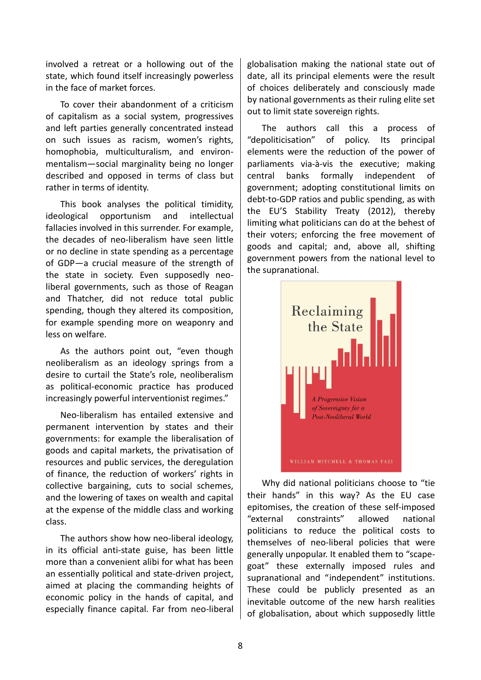involved a retreat or a hollowing out of the state, which found itself increasingly powerless in the face of market forces.

To cover their abandonment of a criticism of capitalism as a social system, progressives and left parties generally concentrated instead on such issues as racism, women's rights, homophobia, multiculturalism, and environmentalism—social marginality being no longer described and opposed in terms of class but rather in terms of identity.

This book analyses the political timidity, ideological opportunism and intellectual fallacies involved in this surrender. For example, the decades of neo-liberalism have seen little or no decline in state spending as a percentage of GDP—a crucial measure of the strength of the state in society. Even supposedly neoliberal governments, such as those of Reagan and Thatcher, did not reduce total public spending, though they altered its composition, for example spending more on weaponry and less on welfare.

As the authors point out, "even though neoliberalism as an ideology springs from a desire to curtail the State's role, neoliberalism as political-economic practice has produced increasingly powerful interventionist regimes."

Neo-liberalism has entailed extensive and permanent intervention by states and their governments: for example the liberalisation of goods and capital markets, the privatisation of resources and public services, the deregulation of finance, the reduction of workers' rights in collective bargaining, cuts to social schemes, and the lowering of taxes on wealth and capital at the expense of the middle class and working class.

The authors show how neo-liberal ideology, in its official anti-state guise, has been little more than a convenient alibi for what has been an essentially political and state-driven project, aimed at placing the commanding heights of economic policy in the hands of capital, and especially finance capital. Far from neo-liberal

globalisation making the national state out of date, all its principal elements were the result of choices deliberately and consciously made by national governments as their ruling elite set out to limit state sovereign rights.

The authors call this a process of "depoliticisation" of policy. Its principal elements were the reduction of the power of parliaments via-à-vis the executive; making central banks formally independent of government; adopting constitutional limits on debt-to-GDP ratios and public spending, as with the EU'S Stability Treaty (2012), thereby limiting what politicians can do at the behest of their voters; enforcing the free movement of goods and capital; and, above all, shifting government powers from the national level to the supranational.



Why did national politicians choose to "tie their hands" in this way? As the EU case epitomises, the creation of these self-imposed "external constraints" allowed national politicians to reduce the political costs to themselves of neo-liberal policies that were generally unpopular. It enabled them to "scapegoat" these externally imposed rules and supranational and "independent" institutions. These could be publicly presented as an inevitable outcome of the new harsh realities of globalisation, about which supposedly little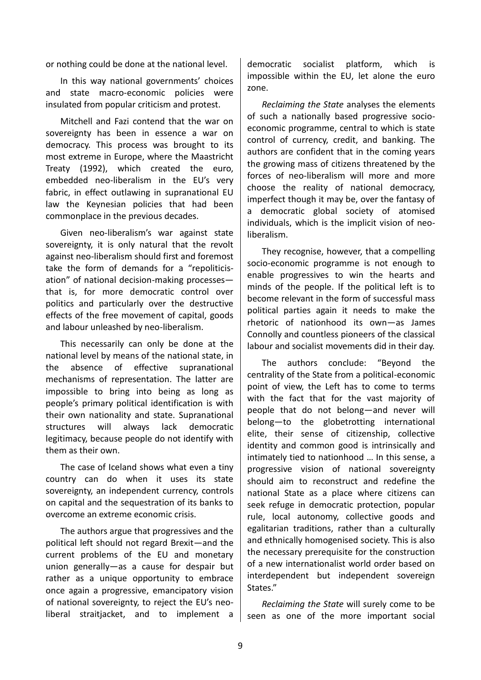or nothing could be done at the national level.

In this way national governments' choices and state macro-economic policies were insulated from popular criticism and protest.

Mitchell and Fazi contend that the war on sovereignty has been in essence a war on democracy. This process was brought to its most extreme in Europe, where the Maastricht Treaty (1992), which created the euro, embedded neo-liberalism in the EU's very fabric, in effect outlawing in supranational EU law the Keynesian policies that had been commonplace in the previous decades.

Given neo-liberalism's war against state sovereignty, it is only natural that the revolt against neo-liberalism should first and foremost take the form of demands for a "repoliticisation" of national decision-making processes that is, for more democratic control over politics and particularly over the destructive effects of the free movement of capital, goods and labour unleashed by neo-liberalism.

This necessarily can only be done at the national level by means of the national state, in the absence of effective supranational mechanisms of representation. The latter are impossible to bring into being as long as people's primary political identification is with their own nationality and state. Supranational structures will always lack democratic legitimacy, because people do not identify with them as their own.

The case of Iceland shows what even a tiny country can do when it uses its state sovereignty, an independent currency, controls on capital and the sequestration of its banks to overcome an extreme economic crisis.

The authors argue that progressives and the political left should not regard Brexit—and the current problems of the EU and monetary union generally—as a cause for despair but rather as a unique opportunity to embrace once again a progressive, emancipatory vision of national sovereignty, to reject the EU's neoliberal straitjacket, and to implement a

democratic socialist platform, which is impossible within the EU, let alone the euro zone.

*Reclaiming the State* analyses the elements of such a nationally based progressive socioeconomic programme, central to which is state control of currency, credit, and banking. The authors are confident that in the coming years the growing mass of citizens threatened by the forces of neo-liberalism will more and more choose the reality of national democracy, imperfect though it may be, over the fantasy of a democratic global society of atomised individuals, which is the implicit vision of neoliberalism.

They recognise, however, that a compelling socio-economic programme is not enough to enable progressives to win the hearts and minds of the people. If the political left is to become relevant in the form of successful mass political parties again it needs to make the rhetoric of nationhood its own—as James Connolly and countless pioneers of the classical labour and socialist movements did in their day.

The authors conclude: "Beyond the centrality of the State from a political-economic point of view, the Left has to come to terms with the fact that for the vast majority of people that do not belong—and never will belong—to the globetrotting international elite, their sense of citizenship, collective identity and common good is intrinsically and intimately tied to nationhood … In this sense, a progressive vision of national sovereignty should aim to reconstruct and redefine the national State as a place where citizens can seek refuge in democratic protection, popular rule, local autonomy, collective goods and egalitarian traditions, rather than a culturally and ethnically homogenised society. This is also the necessary prerequisite for the construction of a new internationalist world order based on interdependent but independent sovereign States."

*Reclaiming the State* will surely come to be seen as one of the more important social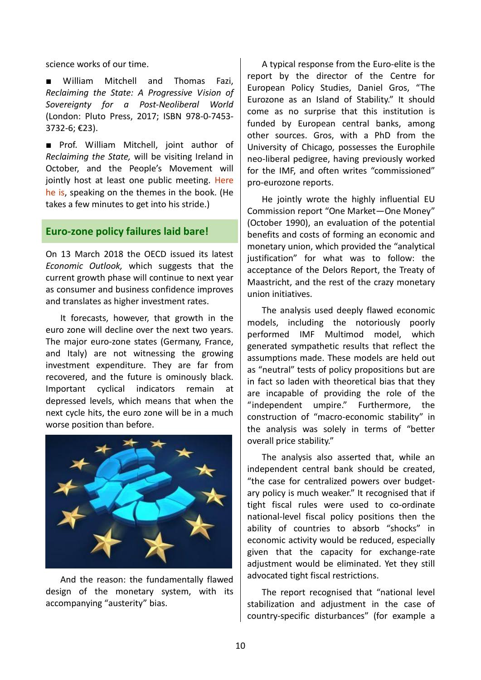science works of our time.

■ William Mitchell and Thomas Fazi, *Reclaiming the State: A Progressive Vision of Sovereignty for a Post-Neoliberal World* (London: Pluto Press, 2017; ISBN 978-0-7453- 3732-6; €23).

■ Prof. William Mitchell, joint author of *Reclaiming the State,* will be visiting Ireland in October, and the People's Movement will jointly host at least one public meeting. Here [he is,](https://www.youtube.com/watch?v=Liv0DKvRLvA) speaking on the themes in the book. (He takes a few minutes to get into his stride.)

## **Euro-zone policy failures laid bare!**

On 13 March 2018 the OECD issued its latest *Economic Outlook,* which suggests that the current growth phase will continue to next year as consumer and business confidence improves and translates as higher investment rates.

It forecasts, however, that growth in the euro zone will decline over the next two years. The major euro-zone states (Germany, France, and Italy) are not witnessing the growing investment expenditure. They are far from recovered, and the future is ominously black. Important cyclical indicators remain at depressed levels, which means that when the next cycle hits, the euro zone will be in a much worse position than before.



And the reason: the fundamentally flawed design of the monetary system, with its accompanying "austerity" bias.

A typical response from the Euro-elite is the report by the director of the Centre for European Policy Studies, Daniel Gros, "The Eurozone as an Island of Stability." It should come as no surprise that this institution is funded by European central banks, among other sources. Gros, with a PhD from the University of Chicago, possesses the Europhile neo-liberal pedigree, having previously worked for the IMF, and often writes "commissioned" pro-eurozone reports.

He jointly wrote the highly influential EU Commission report "One Market—One Money" (October 1990), an evaluation of the potential benefits and costs of forming an economic and monetary union, which provided the "analytical justification" for what was to follow: the acceptance of the Delors Report, the Treaty of Maastricht, and the rest of the crazy monetary union initiatives.

The analysis used deeply flawed economic models, including the notoriously poorly performed IMF Multimod model, which generated sympathetic results that reflect the assumptions made. These models are held out as "neutral" tests of policy propositions but are in fact so laden with theoretical bias that they are incapable of providing the role of the "independent umpire." Furthermore, the construction of "macro-economic stability" in the analysis was solely in terms of "better overall price stability."

The analysis also asserted that, while an independent central bank should be created, "the case for centralized powers over budgetary policy is much weaker." It recognised that if tight fiscal rules were used to co-ordinate national-level fiscal policy positions then the ability of countries to absorb "shocks" in economic activity would be reduced, especially given that the capacity for exchange-rate adjustment would be eliminated. Yet they still advocated tight fiscal restrictions.

The report recognised that "national level stabilization and adjustment in the case of country-specific disturbances" (for example a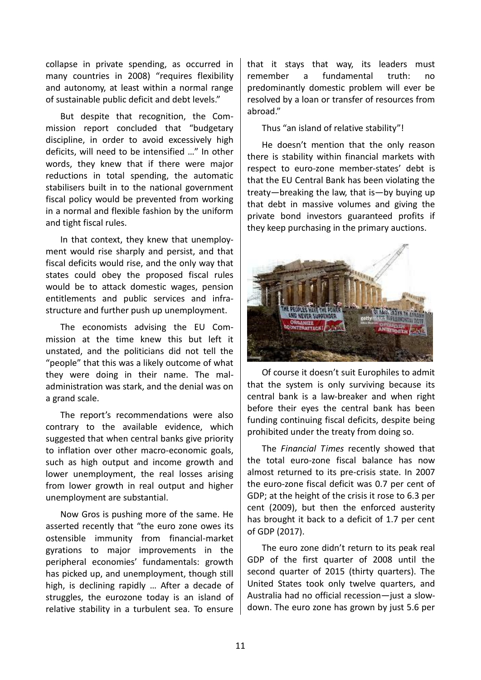collapse in private spending, as occurred in many countries in 2008) "requires flexibility and autonomy, at least within a normal range of sustainable public deficit and debt levels."

But despite that recognition, the Commission report concluded that "budgetary discipline, in order to avoid excessively high deficits, will need to be intensified …" In other words, they knew that if there were major reductions in total spending, the automatic stabilisers built in to the national government fiscal policy would be prevented from working in a normal and flexible fashion by the uniform and tight fiscal rules.

In that context, they knew that unemployment would rise sharply and persist, and that fiscal deficits would rise, and the only way that states could obey the proposed fiscal rules would be to attack domestic wages, pension entitlements and public services and infrastructure and further push up unemployment.

The economists advising the EU Commission at the time knew this but left it unstated, and the politicians did not tell the "people" that this was a likely outcome of what they were doing in their name. The maladministration was stark, and the denial was on a grand scale.

The report's recommendations were also contrary to the available evidence, which suggested that when central banks give priority to inflation over other macro-economic goals, such as high output and income growth and lower unemployment, the real losses arising from lower growth in real output and higher unemployment are substantial.

Now Gros is pushing more of the same. He asserted recently that "the euro zone owes its ostensible immunity from financial-market gyrations to major improvements in the peripheral economies' fundamentals: growth has picked up, and unemployment, though still high, is declining rapidly … After a decade of struggles, the eurozone today is an island of relative stability in a turbulent sea. To ensure

that it stays that way, its leaders must remember a fundamental truth: no predominantly domestic problem will ever be resolved by a loan or transfer of resources from abroad."

Thus "an island of relative stability"!

He doesn't mention that the only reason there is stability within financial markets with respect to euro-zone member-states' debt is that the EU Central Bank has been violating the treaty—breaking the law, that is—by buying up that debt in massive volumes and giving the private bond investors guaranteed profits if they keep purchasing in the primary auctions.



Of course it doesn't suit Europhiles to admit that the system is only surviving because its central bank is a law-breaker and when right before their eyes the central bank has been funding continuing fiscal deficits, despite being prohibited under the treaty from doing so.

The *Financial Times* recently showed that the total euro-zone fiscal balance has now almost returned to its pre-crisis state. In 2007 the euro-zone fiscal deficit was 0.7 per cent of GDP; at the height of the crisis it rose to 6.3 per cent (2009), but then the enforced austerity has brought it back to a deficit of 1.7 per cent of GDP (2017).

The euro zone didn't return to its peak real GDP of the first quarter of 2008 until the second quarter of 2015 (thirty quarters). The United States took only twelve quarters, and Australia had no official recession—just a slowdown. The euro zone has grown by just 5.6 per